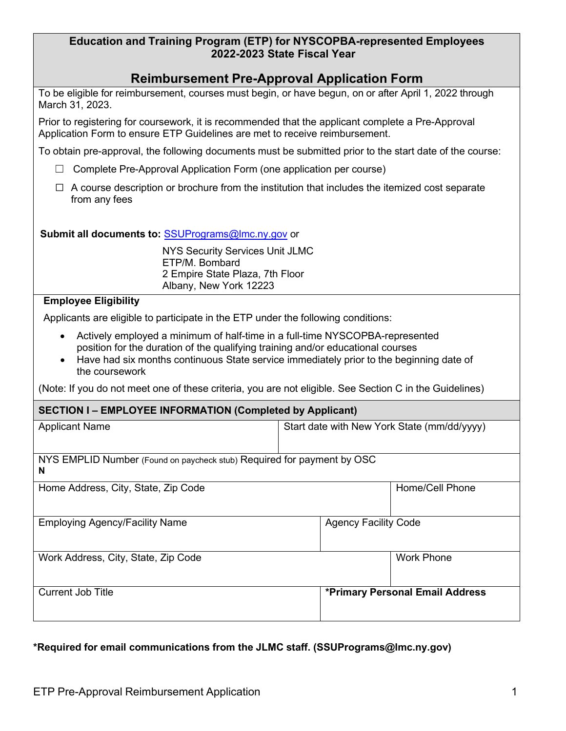| Education and Training Program (ETP) for NYSCOPBA-represented Employees |  |
|-------------------------------------------------------------------------|--|
| 2022-2023 State Fiscal Year                                             |  |

# **Reimbursement Pre-Approval Application Form**

 March 31, 2023. To be eligible for reimbursement, courses must begin, or have begun, on or after April 1, 2022 through

 Application Form to ensure ETP Guidelines are met to receive reimbursement. Prior to registering for coursework, it is recommended that the applicant complete a Pre-Approval

To obtain pre-approval, the following documents must be submitted prior to the start date of the course:

- ☐ Complete Pre-Approval Application Form (one application per course)
- from any fees  $\Box$  A course description or brochure from the institution that includes the itemized cost separate

#### **Submit all documents to:** SSUPrograms@lmc.ny.gov or

 NYS Security Services Unit JLMC ETP/M. Bombard Albany, New York 12223 2 Empire State Plaza, 7th Floor

### **Employee Eligibility**

Applicants are eligible to participate in the ETP under the following conditions:

- position for the duration of the qualifying training and/or educational courses • Actively employed a minimum of half-time in a full-time NYSCOPBA-represented
- • Have had six months continuous State service immediately prior to the beginning date of the coursework

(Note: If you do not meet one of these criteria, you are not eligible. See Section C in the Guidelines)

#### **SECTION I – EMPLOYEE INFORMATION (Completed by Applicant)**

| <b>Applicant Name</b>                                                       | Start date with New York State (mm/dd/yyyy) |  |  |  |  |  |  |
|-----------------------------------------------------------------------------|---------------------------------------------|--|--|--|--|--|--|
|                                                                             |                                             |  |  |  |  |  |  |
| NYS EMPLID Number (Found on paycheck stub) Required for payment by OSC<br>N |                                             |  |  |  |  |  |  |
| Home Address, City, State, Zip Code                                         | Home/Cell Phone                             |  |  |  |  |  |  |
| <b>Employing Agency/Facility Name</b>                                       | <b>Agency Facility Code</b>                 |  |  |  |  |  |  |
| Work Address, City, State, Zip Code                                         | <b>Work Phone</b>                           |  |  |  |  |  |  |
| <b>Current Job Title</b>                                                    | *Primary Personal Email Address             |  |  |  |  |  |  |

## **\*Required for email communications from the JLMC staff. ([SSUPrograms@lmc.ny.gov\)](mailto:SSUPrograms@lmc.ny.gov)**